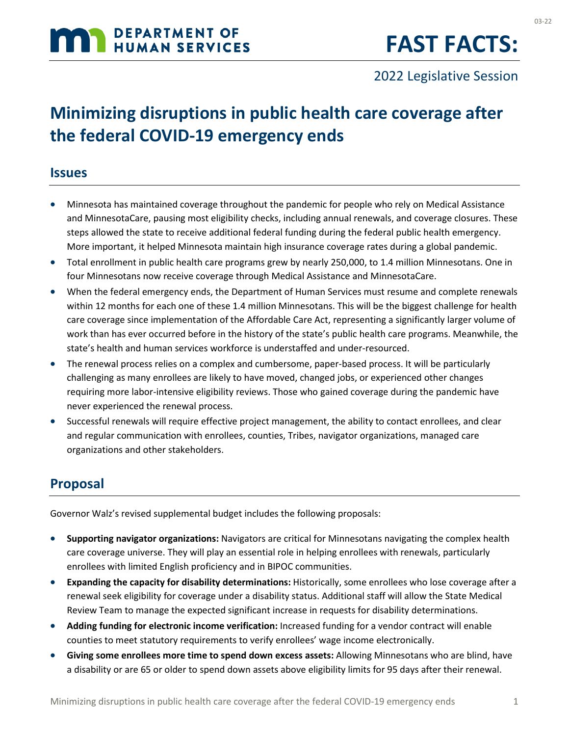# **MAN DEPARTMENT OF HUMAN SERVICES**

2022 Legislative Session

## **Minimizing disruptions in public health care coverage after the federal COVID-19 emergency ends**

#### **Issues**

- Minnesota has maintained coverage throughout the pandemic for people who rely on Medical Assistance and MinnesotaCare, pausing most eligibility checks, including annual renewals, and coverage closures. These steps allowed the state to receive additional federal funding during the federal public health emergency. More important, it helped Minnesota maintain high insurance coverage rates during a global pandemic.
- Total enrollment in public health care programs grew by nearly 250,000, to 1.4 million Minnesotans. One in four Minnesotans now receive coverage through Medical Assistance and MinnesotaCare.
- When the federal emergency ends, the Department of Human Services must resume and complete renewals within 12 months for each one of these 1.4 million Minnesotans. This will be the biggest challenge for health care coverage since implementation of the Affordable Care Act, representing a significantly larger volume of work than has ever occurred before in the history of the state's public health care programs. Meanwhile, the state's health and human services workforce is understaffed and under-resourced.
- The renewal process relies on a complex and cumbersome, paper-based process. It will be particularly challenging as many enrollees are likely to have moved, changed jobs, or experienced other changes requiring more labor-intensive eligibility reviews. Those who gained coverage during the pandemic have never experienced the renewal process.
- Successful renewals will require effective project management, the ability to contact enrollees, and clear and regular communication with enrollees, counties, Tribes, navigator organizations, managed care organizations and other stakeholders.

#### **Proposal**

Governor Walz's revised supplemental budget includes the following proposals:

- **Supporting navigator organizations:** Navigators are critical for Minnesotans navigating the complex health care coverage universe. They will play an essential role in helping enrollees with renewals, particularly enrollees with limited English proficiency and in BIPOC communities.
- **Expanding the capacity for disability determinations:** Historically, some enrollees who lose coverage after a renewal seek eligibility for coverage under a disability status. Additional staff will allow the State Medical Review Team to manage the expected significant increase in requests for disability determinations.
- **Adding funding for electronic income verification:** Increased funding for a vendor contract will enable counties to meet statutory requirements to verify enrollees' wage income electronically.
- **Giving some enrollees more time to spend down excess assets:** Allowing Minnesotans who are blind, have a disability or are 65 or older to spend down assets above eligibility limits for 95 days after their renewal.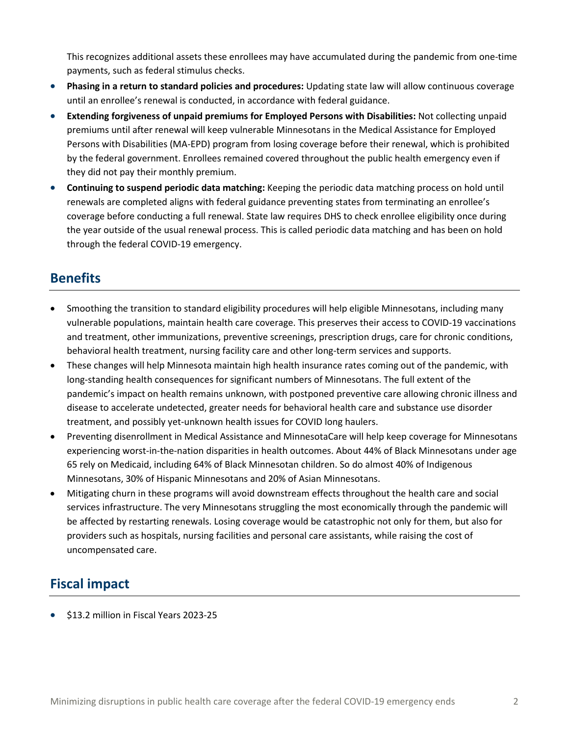This recognizes additional assets these enrollees may have accumulated during the pandemic from one-time payments, such as federal stimulus checks.

- **Phasing in a return to standard policies and procedures:** Updating state law will allow continuous coverage until an enrollee's renewal is conducted, in accordance with federal guidance.
- **Extending forgiveness of unpaid premiums for Employed Persons with Disabilities:** Not collecting unpaid premiums until after renewal will keep vulnerable Minnesotans in the Medical Assistance for Employed Persons with Disabilities (MA-EPD) program from losing coverage before their renewal, which is prohibited by the federal government. Enrollees remained covered throughout the public health emergency even if they did not pay their monthly premium.
- **Continuing to suspend periodic data matching:** Keeping the periodic data matching process on hold until renewals are completed aligns with federal guidance preventing states from terminating an enrollee's coverage before conducting a full renewal. State law requires DHS to check enrollee eligibility once during the year outside of the usual renewal process. This is called periodic data matching and has been on hold through the federal COVID-19 emergency.

#### **Benefits**

- Smoothing the transition to standard eligibility procedures will help eligible Minnesotans, including many vulnerable populations, maintain health care coverage. This preserves their access to COVID-19 vaccinations and treatment, other immunizations, preventive screenings, prescription drugs, care for chronic conditions, behavioral health treatment, nursing facility care and other long-term services and supports.
- These changes will help Minnesota maintain high health insurance rates coming out of the pandemic, with long-standing health consequences for significant numbers of Minnesotans. The full extent of the pandemic's impact on health remains unknown, with postponed preventive care allowing chronic illness and disease to accelerate undetected, greater needs for behavioral health care and substance use disorder treatment, and possibly yet-unknown health issues for COVID long haulers.
- Preventing disenrollment in Medical Assistance and MinnesotaCare will help keep coverage for Minnesotans experiencing worst-in-the-nation disparities in health outcomes. About 44% of Black Minnesotans under age 65 rely on Medicaid, including 64% of Black Minnesotan children. So do almost 40% of Indigenous Minnesotans, 30% of Hispanic Minnesotans and 20% of Asian Minnesotans.
- Mitigating churn in these programs will avoid downstream effects throughout the health care and social services infrastructure. The very Minnesotans struggling the most economically through the pandemic will be affected by restarting renewals. Losing coverage would be catastrophic not only for them, but also for providers such as hospitals, nursing facilities and personal care assistants, while raising the cost of uncompensated care.

#### **Fiscal impact**

• \$13.2 million in Fiscal Years 2023-25